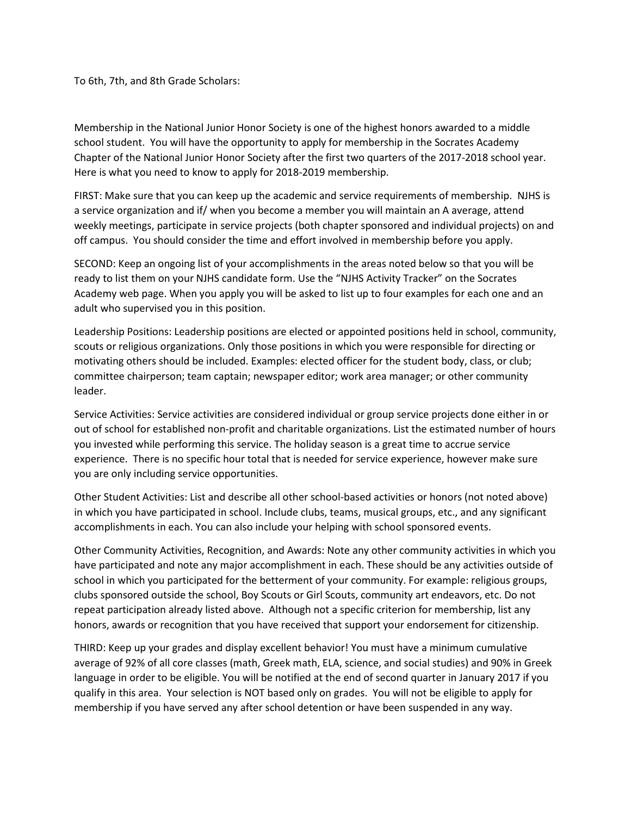To 6th, 7th, and 8th Grade Scholars:

Membership in the National Junior Honor Society is one of the highest honors awarded to a middle school student. You will have the opportunity to apply for membership in the Socrates Academy Chapter of the National Junior Honor Society after the first two quarters of the 2017-2018 school year. Here is what you need to know to apply for 2018-2019 membership.

FIRST: Make sure that you can keep up the academic and service requirements of membership. NJHS is a service organization and if/ when you become a member you will maintain an A average, attend weekly meetings, participate in service projects (both chapter sponsored and individual projects) on and off campus. You should consider the time and effort involved in membership before you apply.

SECOND: Keep an ongoing list of your accomplishments in the areas noted below so that you will be ready to list them on your NJHS candidate form. Use the "NJHS Activity Tracker" on the Socrates Academy web page. When you apply you will be asked to list up to four examples for each one and an adult who supervised you in this position.

Leadership Positions: Leadership positions are elected or appointed positions held in school, community, scouts or religious organizations. Only those positions in which you were responsible for directing or motivating others should be included. Examples: elected officer for the student body, class, or club; committee chairperson; team captain; newspaper editor; work area manager; or other community leader.

Service Activities: Service activities are considered individual or group service projects done either in or out of school for established non-profit and charitable organizations. List the estimated number of hours you invested while performing this service. The holiday season is a great time to accrue service experience. There is no specific hour total that is needed for service experience, however make sure you are only including service opportunities.

Other Student Activities: List and describe all other school-based activities or honors (not noted above) in which you have participated in school. Include clubs, teams, musical groups, etc., and any significant accomplishments in each. You can also include your helping with school sponsored events.

Other Community Activities, Recognition, and Awards: Note any other community activities in which you have participated and note any major accomplishment in each. These should be any activities outside of school in which you participated for the betterment of your community. For example: religious groups, clubs sponsored outside the school, Boy Scouts or Girl Scouts, community art endeavors, etc. Do not repeat participation already listed above. Although not a specific criterion for membership, list any honors, awards or recognition that you have received that support your endorsement for citizenship.

THIRD: Keep up your grades and display excellent behavior! You must have a minimum cumulative average of 92% of all core classes (math, Greek math, ELA, science, and social studies) and 90% in Greek language in order to be eligible. You will be notified at the end of second quarter in January 2017 if you qualify in this area. Your selection is NOT based only on grades. You will not be eligible to apply for membership if you have served any after school detention or have been suspended in any way.